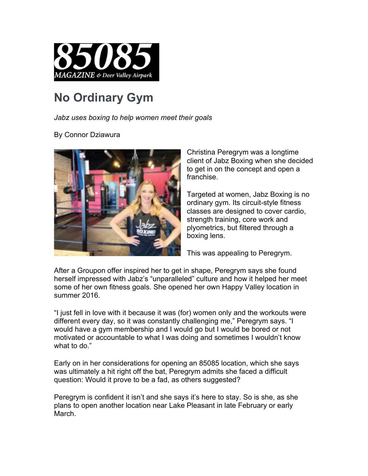

## **No Ordinary Gym**

*Jabz uses boxing to help women meet their goals*

## By Connor Dziawura



Christina Peregrym was a longtime client of Jabz Boxing when she decided to get in on the concept and open a franchise.

Targeted at women, Jabz Boxing is no ordinary gym. Its circuit-style fitness classes are designed to cover cardio, strength training, core work and plyometrics, but filtered through a boxing lens.

This was appealing to Peregrym.

After a Groupon offer inspired her to get in shape, Peregrym says she found herself impressed with Jabz's "unparalleled" culture and how it helped her meet some of her own fitness goals. She opened her own Happy Valley location in summer 2016.

"I just fell in love with it because it was (for) women only and the workouts were different every day, so it was constantly challenging me," Peregrym says. "I would have a gym membership and I would go but I would be bored or not motivated or accountable to what I was doing and sometimes I wouldn't know what to do."

Early on in her considerations for opening an 85085 location, which she says was ultimately a hit right off the bat, Peregrym admits she faced a difficult question: Would it prove to be a fad, as others suggested?

Peregrym is confident it isn't and she says it's here to stay. So is she, as she plans to open another location near Lake Pleasant in late February or early March.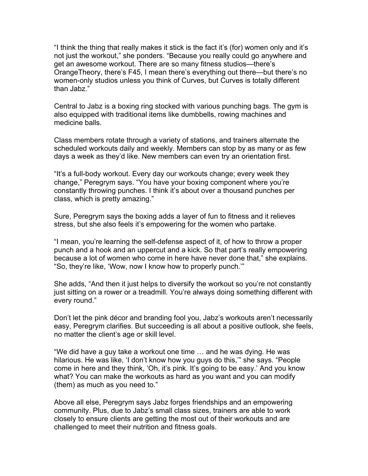"I think the thing that really makes it stick is the fact it's (for) women only and it's not just the workout," she ponders. "Because you really could go anywhere and get an awesome workout. There are so many fitness studios—there's OrangeTheory, there's F45, I mean there's everything out there—but there's no women-only studios unless you think of Curves, but Curves is totally different than Jabz."

Central to Jabz is a boxing ring stocked with various punching bags. The gym is also equipped with traditional items like dumbbells, rowing machines and medicine balls.

Class members rotate through a variety of stations, and trainers alternate the scheduled workouts daily and weekly. Members can stop by as many or as few days a week as they'd like. New members can even try an orientation first.

"It's a full-body workout. Every day our workouts change; every week they change," Peregrym says. "You have your boxing component where you're constantly throwing punches. I think it's about over a thousand punches per class, which is pretty amazing."

Sure, Peregrym says the boxing adds a layer of fun to fitness and it relieves stress, but she also feels it's empowering for the women who partake.

"I mean, you're learning the self-defense aspect of it, of how to throw a proper punch and a hook and an uppercut and a kick. So that part's really empowering because a lot of women who come in here have never done that," she explains. "So, they're like, 'Wow, now I know how to properly punch.'"

She adds, "And then it just helps to diversify the workout so you're not constantly just sitting on a rower or a treadmill. You're always doing something different with every round."

Don't let the pink décor and branding fool you, Jabz's workouts aren't necessarily easy, Peregrym clarifies. But succeeding is all about a positive outlook, she feels, no matter the client's age or skill level.

"We did have a guy take a workout one time … and he was dying. He was hilarious. He was like, 'I don't know how you guys do this,'" she says. "People come in here and they think, 'Oh, it's pink. It's going to be easy.' And you know what? You can make the workouts as hard as you want and you can modify (them) as much as you need to."

Above all else, Peregrym says Jabz forges friendships and an empowering community. Plus, due to Jabz's small class sizes, trainers are able to work closely to ensure clients are getting the most out of their workouts and are challenged to meet their nutrition and fitness goals.